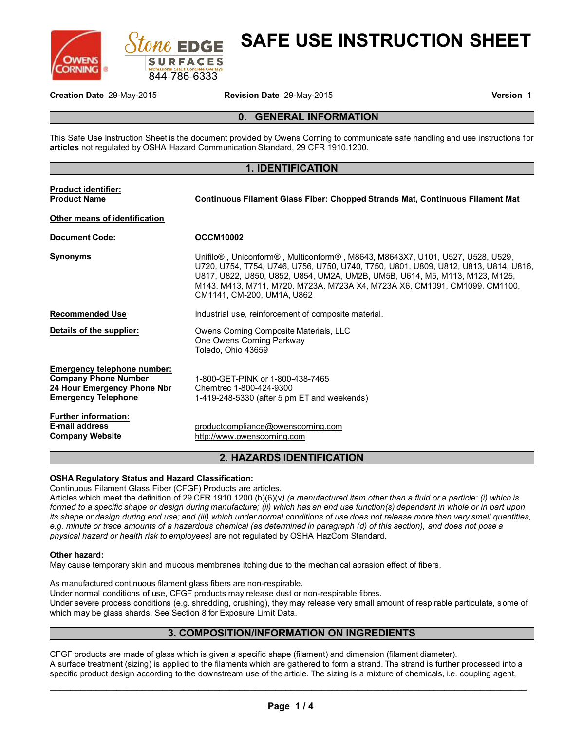



# **SAFE USE INSTRUCTION SHEET**

**Creation Date** 29-May-2015 **Revision Date** 29-May-2015 **Version** 1

## **0. GENERAL INFORMATION**

This Safe Use Instruction Sheet is the document provided by Owens Corning to communicate safe handling and use instructions for **articles** not regulated by OSHA Hazard Communication Standard, 29 CFR 1910.1200.

#### **1. IDENTIFICATION**

| <b>Product identifier:</b><br><b>Product Name</b><br>Other means of identification                                             | <b>Continuous Filament Glass Fiber: Chopped Strands Mat, Continuous Filament Mat</b>                                                                                                                                                                                                                                                                            |
|--------------------------------------------------------------------------------------------------------------------------------|-----------------------------------------------------------------------------------------------------------------------------------------------------------------------------------------------------------------------------------------------------------------------------------------------------------------------------------------------------------------|
| <b>Document Code:</b>                                                                                                          | <b>OCCM10002</b>                                                                                                                                                                                                                                                                                                                                                |
| <b>Synonyms</b>                                                                                                                | Unifilo®, Uniconform®, Multiconform®, M8643, M8643X7, U101, U527, U528, U529,<br>U720, U754, T754, U746, U756, U750, U740, T750, U801, U809, U812, U813, U814, U816,<br>U817, U822, U850, U852, U854, UM2A, UM2B, UM5B, U614, M5, M113, M123, M125,<br>M143, M413, M711, M720, M723A, M723A X4, M723A X6, CM1091, CM1099, CM1100,<br>CM1141, CM-200, UM1A, U862 |
| <b>Recommended Use</b>                                                                                                         | Industrial use, reinforcement of composite material.                                                                                                                                                                                                                                                                                                            |
| Details of the supplier:                                                                                                       | Owens Corning Composite Materials, LLC<br>One Owens Corning Parkway<br>Toledo. Ohio 43659                                                                                                                                                                                                                                                                       |
| <b>Emergency telephone number:</b><br><b>Company Phone Number</b><br>24 Hour Emergency Phone Nbr<br><b>Emergency Telephone</b> | 1-800-GET-PINK or 1-800-438-7465<br>Chemtrec 1-800-424-9300<br>1-419-248-5330 (after 5 pm ET and weekends)                                                                                                                                                                                                                                                      |
| <b>Further information:</b><br><b>E-mail address</b><br><b>Company Website</b>                                                 | productcompliance@owenscorning.com<br>http://www.owenscorning.com                                                                                                                                                                                                                                                                                               |

## **2. HAZARDS IDENTIFICATION**

#### **OSHA Regulatory Status and Hazard Classification:**

Continuous Filament Glass Fiber (CFGF) Products are articles.

Articles which meet the definition of 29 CFR 1910.1200 (b)(6)(v*) (a manufactured item other than a fluid or a particle: (i) which is formed to a specific shape or design during manufacture; (ii) which has an end use function(s) dependant in whole or in part upon its shape or design during end use; and (iii) which under normal conditions of use does not release more than very small quantities, e.g. minute or trace amounts of a hazardous chemical (as determined in paragraph (d) of this section), and does not pose a physical hazard or health risk to employees)* are not regulated by OSHA HazCom Standard.

#### **Other hazard:**

May cause temporary skin and mucous membranes itching due to the mechanical abrasion effect of fibers.

As manufactured continuous filament glass fibers are non-respirable. Under normal conditions of use, CFGF products may release dust or non-respirable fibres. Under severe process conditions (e.g. shredding, crushing), they may release very small amount of respirable particulate, some of which may be glass shards. See Section 8 for Exposure Limit Data.

# **3. COMPOSITION/INFORMATION ON INGREDIENTS**

CFGF products are made of glass which is given a specific shape (filament) and dimension (filament diameter). A surface treatment (sizing) is applied to the filaments which are gathered to form a strand. The strand is further processed into a specific product design according to the downstream use of the article. The sizing is a mixture of chemicals, i.e. coupling agent,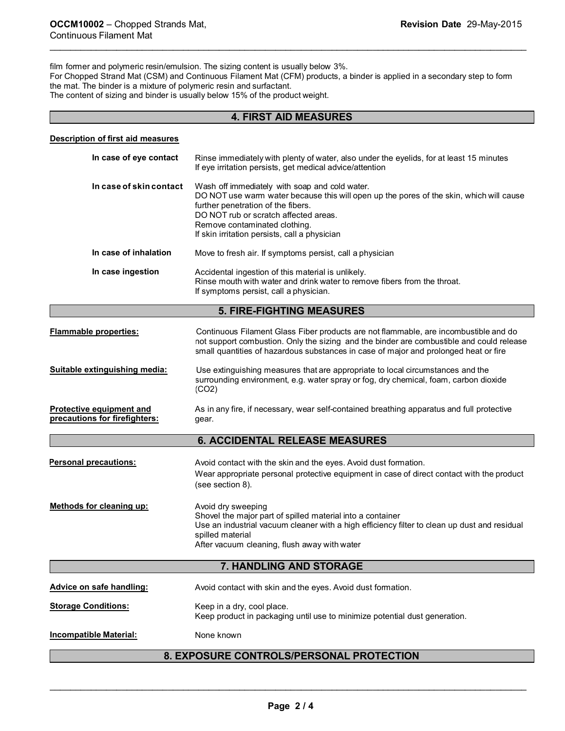film former and polymeric resin/emulsion. The sizing content is usually below 3%. For Chopped Strand Mat (CSM) and Continuous Filament Mat (CFM) products, a binder is applied in a secondary step to form the mat. The binder is a mixture of polymeric resin and surfactant. The content of sizing and binder is usually below 15% of the product weight.

\_\_\_\_\_\_\_\_\_\_\_\_\_\_\_\_\_\_\_\_\_\_\_\_\_\_\_\_\_\_\_\_\_\_\_\_\_\_\_\_\_\_\_\_\_\_\_\_\_\_\_\_\_\_\_\_\_\_\_\_\_\_\_\_\_\_\_\_\_\_\_\_\_\_\_\_\_\_\_\_\_\_\_\_\_\_\_\_\_\_\_\_\_

# **4. FIRST AID MEASURES**

#### **Description of first aid measures**

| In case of eye contact                                    | Rinse immediately with plenty of water, also under the eyelids, for at least 15 minutes<br>If eye irritation persists, get medical advice/attention                                                                                                                                                        |  |
|-----------------------------------------------------------|------------------------------------------------------------------------------------------------------------------------------------------------------------------------------------------------------------------------------------------------------------------------------------------------------------|--|
| In case of skin contact                                   | Wash off immediately with soap and cold water.<br>DO NOT use warm water because this will open up the pores of the skin, which will cause<br>further penetration of the fibers.<br>DO NOT rub or scratch affected areas.<br>Remove contaminated clothing.<br>If skin irritation persists, call a physician |  |
| In case of inhalation                                     | Move to fresh air. If symptoms persist, call a physician                                                                                                                                                                                                                                                   |  |
| In case ingestion                                         | Accidental ingestion of this material is unlikely.<br>Rinse mouth with water and drink water to remove fibers from the throat.<br>If symptoms persist, call a physician.                                                                                                                                   |  |
|                                                           | <b>5. FIRE-FIGHTING MEASURES</b>                                                                                                                                                                                                                                                                           |  |
| <b>Flammable properties:</b>                              | Continuous Filament Glass Fiber products are not flammable, are incombustible and do<br>not support combustion. Only the sizing and the binder are combustible and could release<br>small quantities of hazardous substances in case of major and prolonged heat or fire                                   |  |
| Suitable extinguishing media:                             | Use extinguishing measures that are appropriate to local circumstances and the<br>surrounding environment, e.g. water spray or fog, dry chemical, foam, carbon dioxide<br>(CO2)                                                                                                                            |  |
| Protective equipment and<br>precautions for firefighters: | As in any fire, if necessary, wear self-contained breathing apparatus and full protective<br>qear.                                                                                                                                                                                                         |  |
|                                                           | <b>6. ACCIDENTAL RELEASE MEASURES</b>                                                                                                                                                                                                                                                                      |  |
| Personal precautions:                                     | Avoid contact with the skin and the eyes. Avoid dust formation.<br>Wear appropriate personal protective equipment in case of direct contact with the product<br>(see section 8).                                                                                                                           |  |
| <b>Methods for cleaning up:</b>                           | Avoid dry sweeping<br>Shovel the major part of spilled material into a container<br>Use an industrial vacuum cleaner with a high efficiency filter to clean up dust and residual<br>spilled material<br>After vacuum cleaning, flush away with water                                                       |  |
| 7. HANDLING AND STORAGE                                   |                                                                                                                                                                                                                                                                                                            |  |
| Advice on safe handling:                                  | Avoid contact with skin and the eyes. Avoid dust formation.                                                                                                                                                                                                                                                |  |
| <b>Storage Conditions:</b>                                | Keep in a dry, cool place.<br>Keep product in packaging until use to minimize potential dust generation.                                                                                                                                                                                                   |  |
| <b>Incompatible Material:</b>                             | None known                                                                                                                                                                                                                                                                                                 |  |
| 8. EXPOSURE CONTROLS/PERSONAL PROTECTION                  |                                                                                                                                                                                                                                                                                                            |  |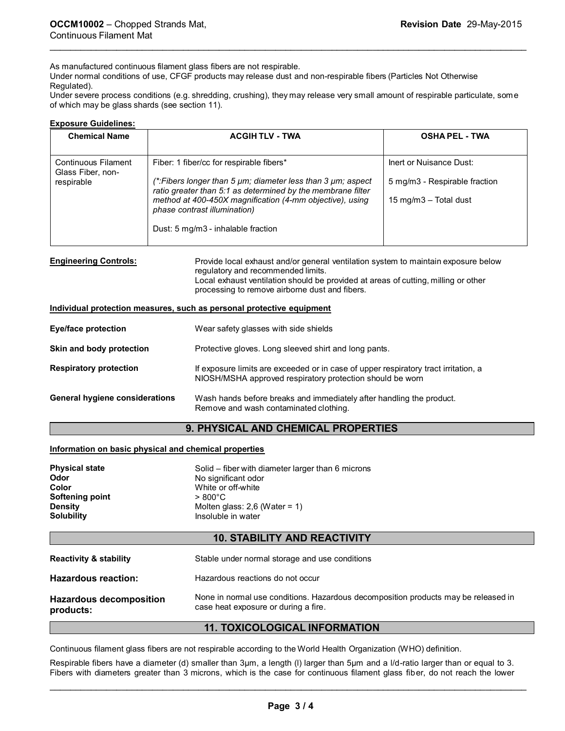As manufactured continuous filament glass fibers are not respirable.

Under normal conditions of use, CFGF products may release dust and non-respirable fibers (Particles Not Otherwise Regulated).

Under severe process conditions (e.g. shredding, crushing), they may release very small amount of respirable particulate, som e of which may be glass shards (see section 11).

\_\_\_\_\_\_\_\_\_\_\_\_\_\_\_\_\_\_\_\_\_\_\_\_\_\_\_\_\_\_\_\_\_\_\_\_\_\_\_\_\_\_\_\_\_\_\_\_\_\_\_\_\_\_\_\_\_\_\_\_\_\_\_\_\_\_\_\_\_\_\_\_\_\_\_\_\_\_\_\_\_\_\_\_\_\_\_\_\_\_\_\_\_

#### **Exposure Guidelines:**

| <b>ACGIHTLV - TWA</b>                                                                                                                | <b>OSHA PEL - TWA</b>         |
|--------------------------------------------------------------------------------------------------------------------------------------|-------------------------------|
| Fiber: 1 fiber/cc for respirable fibers*                                                                                             | Inert or Nuisance Dust:       |
| (*:Fibers longer than 5 $\mu$ m; diameter less than 3 $\mu$ m; aspect<br>ratio greater than 5:1 as determined by the membrane filter | 5 mg/m3 - Respirable fraction |
| method at 400-450X magnification (4-mm objective), using<br>phase contrast illumination)                                             | 15 mg/m $3$ – Total dust      |
| Dust: 5 mg/m3 - inhalable fraction                                                                                                   |                               |
|                                                                                                                                      |                               |

**Engineering Controls:** Provide local exhaust and/or general ventilation system to maintain exposure below regulatory and recommended limits. Local exhaust ventilation should be provided at areas of cutting, milling or other processing to remove airborne dust and fibers.

#### **Individual protection measures, such as personal protective equipment**

| <b>Eye/face protection</b>            | Wear safety glasses with side shields                                                                                                            |
|---------------------------------------|--------------------------------------------------------------------------------------------------------------------------------------------------|
| Skin and body protection              | Protective gloves. Long sleeved shirt and long pants.                                                                                            |
| <b>Respiratory protection</b>         | If exposure limits are exceeded or in case of upper respiratory tract irritation, a<br>NIOSH/MSHA approved respiratory protection should be worn |
| <b>General hygiene considerations</b> | Wash hands before breaks and immediately after handling the product.<br>Remove and wash contaminated clothing.                                   |

## **9. PHYSICAL AND CHEMICAL PROPERTIES**

#### **Information on basic physical and chemical properties**

| Solid – fiber with diameter larger than 6 microns |
|---------------------------------------------------|
| No significant odor                               |
| White or off-white                                |
| $> 800^{\circ}$ C                                 |
| Molten glass: $2,6$ (Water = 1)                   |
| Insoluble in water                                |
|                                                   |

# **10. STABILITY AND REACTIVITY**

| <b>Reactivity &amp; stability</b>           | Stable under normal storage and use conditions                                                                             |
|---------------------------------------------|----------------------------------------------------------------------------------------------------------------------------|
| <b>Hazardous reaction:</b>                  | Hazardous reactions do not occur                                                                                           |
| <b>Hazardous decomposition</b><br>products: | None in normal use conditions. Hazardous decomposition products may be released in<br>case heat exposure or during a fire. |

## **11. TOXICOLOGICAL INFORMATION**

Continuous filament glass fibers are not respirable according to the World Health Organization (WHO) definition.

Respirable fibers have a diameter (d) smaller than 3µm, a length (l) larger than 5µm and a l/d-ratio larger than or equal to 3. Fibers with diameters greater than 3 microns, which is the case for continuous filament glass fiber, do not reach the lower